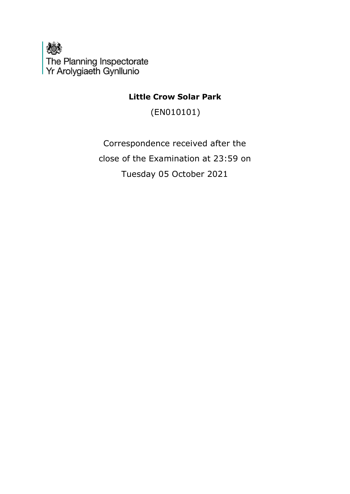

**Little Crow Solar Park**

(EN010101)

Correspondence received after the close of the Examination at 23:59 on Tuesday 05 October 2021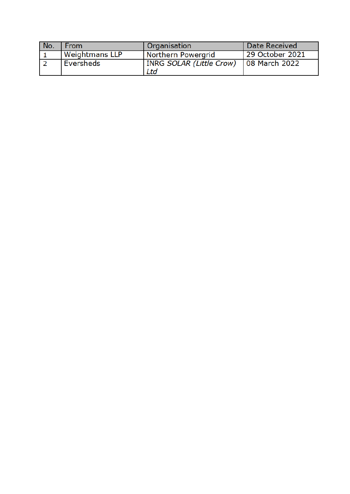| No. | From                  | Organisation                           | Date Received   |
|-----|-----------------------|----------------------------------------|-----------------|
|     | <b>Weightmans LLP</b> | Northern Powergrid                     | 29 October 2021 |
|     | Eversheds             | <b>INRG SOLAR (Little Crow)</b><br>Ltd | 08 March 2022   |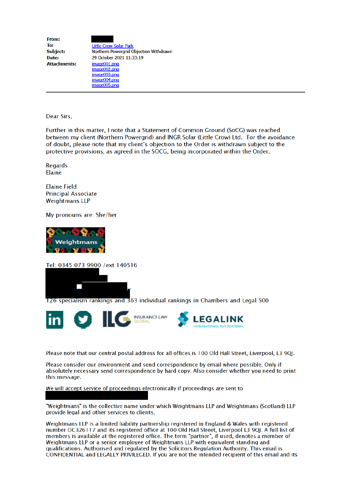| From:               |                                        |
|---------------------|----------------------------------------|
| To:                 | <b>Little Crow Solar Park</b>          |
| Subject:            | Northern Powergrid Objection Withdrawn |
| Date:               | 29 October 2021 11:33:19               |
| <b>Attachments:</b> | image001.p <sub>0</sub>                |
|                     | image002.p <sub>np</sub>               |
|                     | image003.p <sub>nnq</sub>              |
|                     | image004.png                           |

 $imae005.$ <sub>nnd</sub>

Dear Sirs,

Further in this matter, I note that a Statement of Common Ground (SoCG) was reached between my client (Northern Powergrid) and INGR Solar (Little Crow) Ltd. For the avoidance of doubt, please note that my client's objection to the Order is withdrawn subject to the protective provisions, as agreed in the SOCG, being incorporated within the Order.

**Regards** Elaine

**Elaine Field Principal Associate Weightmans LLP** 

My pronouns are: She/her



Tel: 0345 073 9900 /ext 140516



126 specialism rankings and 363 individual rankings in Chambers and Legal 500



Please note that our central postal address for all offices is 100 Old Hall Street, Liverpool, L3 90I.

Please consider our environment and send correspondence by email where possible. Only if absolutely necessary send correspondence by hard copy. Also consider whether you need to print this message.

We will accept service of proceedings electronically if proceedings are sent to

"Weightmans" is the collective name under which Weightmans LLP and Weightmans (Scotland) LLP provide legal and other services to clients.

Weightmans LLP is a limited liability partnership registered in England & Wales with registered number OC326117 and its registered office at 100 Old Hall Street, Liverpool L3 9QJ. A full list of members is available at the registered office. The term "partner", if used, denotes a member of Weightmans LLP or a senior employee of Weightmans LLP with equivalent standing and qualifications. Authorised and requlated by the Solicitors Requlation Authority. This email is CONFIDENTIAL and LEGALLY PRIVILEGED. If you are not the intended recipient of this email and its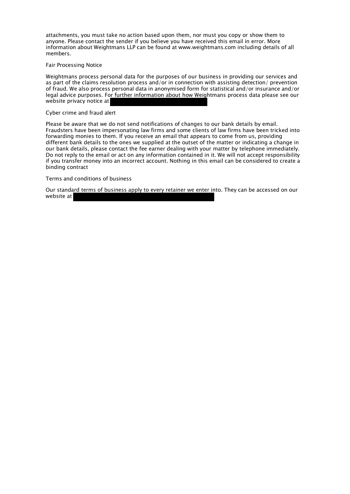attachments, you must take no action based upon them, nor must you copy or show them to anyone. Please contact the sender if you believe you have received this email in error. More information about Weightmans LLP can be found at www.weightmans.com including details of all members.

## Fair Processing Notice

Weightmans process personal data for the purposes of our business in providing our services and as part of the claims resolution process and/or in connection with assisting detection/ prevention of fraud. We also process personal data in anonymised form for statistical and/or insurance and/or legal advice purposes. For further information about how Weightmans process data please see our website privacy notice at

## Cyber crime and fraud alert

Please be aware that we do not send notifications of changes to our bank details by email. Fraudsters have been impersonating law firms and some clients of law firms have been tricked into forwarding monies to them. If you receive an email that appears to come from us, providing different bank details to the ones we supplied at the outset of the matter or indicating a change in our bank details, please contact the fee earner dealing with your matter by telephone immediately. Do not reply to the email or act on any information contained in it. We will not accept responsibility if you transfer money into an incorrect account. Nothing in this email can be considered to create a binding contract

Terms and conditions of business

Our standard terms of business apply to every retainer we enter into. They can be accessed on our website at